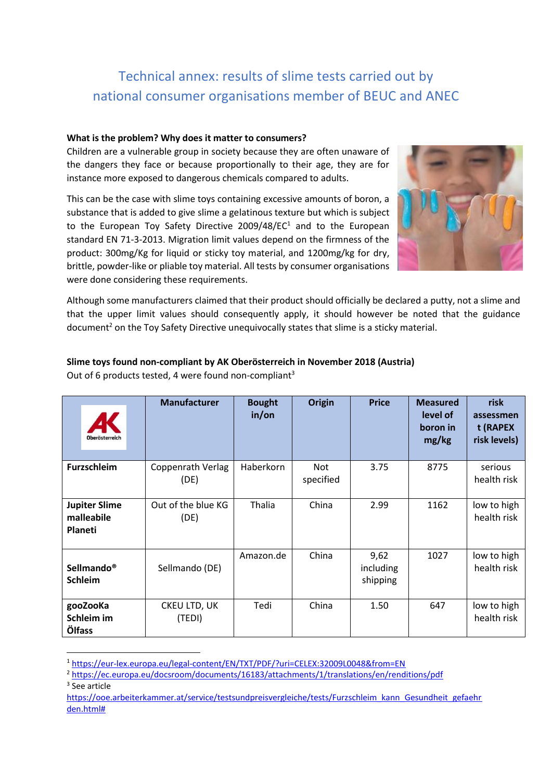# Technical annex: results of slime tests carried out by national consumer organisations member of BEUC and ANEC

## **What is the problem? Why does it matter to consumers?**

Children are a vulnerable group in society because they are often unaware of the dangers they face or because proportionally to their age, they are for instance more exposed to dangerous chemicals compared to adults.

This can be the case with slime toys containing excessive amounts of boron, a substance that is added to give slime a gelatinous texture but which is subject to the European Toy Safety Directive 2009/48/EC $1$  and to the European standard EN 71-3-2013. Migration limit values depend on the firmness of the product: 300mg/Kg for liquid or sticky toy material, and 1200mg/kg for dry, brittle, powder-like or pliable toy material. All tests by consumer organisations were done considering these requirements.



Although some manufacturers claimed that their product should officially be declared a putty, not a slime and that the upper limit values should consequently apply, it should however be noted that the guidance document<sup>2</sup> on the Toy Safety Directive unequivocally states that slime is a sticky material.

| <b>Oberösterreich</b>                         | <b>Manufacturer</b>              | <b>Bought</b><br>in/or | <b>Origin</b>    | <b>Price</b>                  | <b>Measured</b><br>level of<br>boron in<br>mg/kg | risk<br>assessmen<br>t (RAPEX<br>risk levels) |
|-----------------------------------------------|----------------------------------|------------------------|------------------|-------------------------------|--------------------------------------------------|-----------------------------------------------|
| <b>Furzschleim</b>                            | <b>Coppenrath Verlag</b><br>(DE) | Haberkorn              | Not<br>specified | 3.75                          | 8775                                             | serious<br>health risk                        |
| <b>Jupiter Slime</b><br>malleabile<br>Planeti | Out of the blue KG<br>(DE)       | Thalia                 | China            | 2.99                          | 1162                                             | low to high<br>health risk                    |
| Sellmando <sup>®</sup><br><b>Schleim</b>      | Sellmando (DE)                   | Amazon.de              | China            | 9,62<br>including<br>shipping | 1027                                             | low to high<br>health risk                    |
| gooZooKa<br>Schleim im<br>Ölfass              | CKEU LTD, UK<br>(TEDI)           | Tedi                   | China            | 1.50                          | 647                                              | low to high<br>health risk                    |

## **Slime toys found non-compliant by AK Oberösterreich in November 2018 (Austria)** Out of 6 products tested, 4 were found non-compliant<sup>3</sup>

<sup>1</sup> <https://eur-lex.europa.eu/legal-content/EN/TXT/PDF/?uri=CELEX:32009L0048&from=EN>

<sup>&</sup>lt;sup>2</sup> <https://ec.europa.eu/docsroom/documents/16183/attachments/1/translations/en/renditions/pdf> 3 See article

[https://ooe.arbeiterkammer.at/service/testsundpreisvergleiche/tests/Furzschleim\\_kann\\_Gesundheit\\_gefaehr](https://ooe.arbeiterkammer.at/service/testsundpreisvergleiche/tests/Furzschleim_kann_Gesundheit_gefaehrden.html) [den.html#](https://ooe.arbeiterkammer.at/service/testsundpreisvergleiche/tests/Furzschleim_kann_Gesundheit_gefaehrden.html)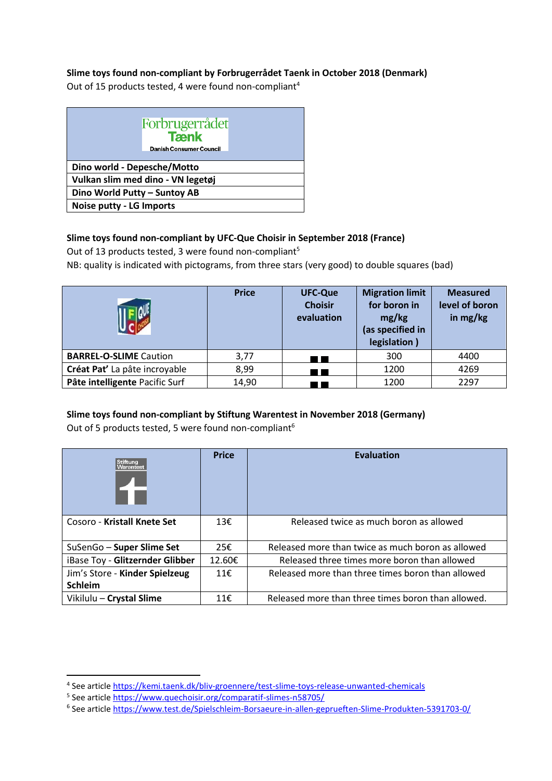# **Slime toys found non-compliant by Forbrugerrådet Taenk in October 2018 (Denmark)**

Out of 15 products tested, 4 were found non-compliant<sup>4</sup>

|                                   | Forbrugerrådet<br><b>Tænk</b><br><b>Danish Consumer Council</b> |  |  |  |  |
|-----------------------------------|-----------------------------------------------------------------|--|--|--|--|
| Dino world - Depesche/Motto       |                                                                 |  |  |  |  |
| Vulkan slim med dino - VN legetøj |                                                                 |  |  |  |  |
| Dino World Putty - Suntoy AB      |                                                                 |  |  |  |  |
| <b>Noise putty - LG Imports</b>   |                                                                 |  |  |  |  |

# **Slime toys found non-compliant by UFC-Que Choisir in September 2018 (France)**

Out of 13 products tested, 3 were found non-compliant<sup>5</sup>

NB: quality is indicated with pictograms, from three stars (very good) to double squares (bad)

|                                | <b>Price</b> | <b>UFC-Que</b><br><b>Choisir</b><br>evaluation | <b>Migration limit</b><br>for boron in<br>mg/kg<br>(as specified in<br>legislation) | <b>Measured</b><br>level of boron<br>in $mg/kg$ |
|--------------------------------|--------------|------------------------------------------------|-------------------------------------------------------------------------------------|-------------------------------------------------|
| <b>BARREL-O-SLIME Caution</b>  | 3,77         |                                                | 300                                                                                 | 4400                                            |
| Créat Pat' La pâte incroyable  | 8,99         |                                                | 1200                                                                                | 4269                                            |
| Pâte intelligente Pacific Surf | 14,90        |                                                | 1200                                                                                | 2297                                            |

#### **Slime toys found non-compliant by Stiftung Warentest in November 2018 (Germany)** Out of 5 products tested, 5 were found non-compliant<sup>6</sup>

| Out of 5 products tested, 5 were found non-compliant to |  |  |
|---------------------------------------------------------|--|--|
|                                                         |  |  |

| <b>Stiftung</b><br>Warentest    | <b>Price</b> | <b>Evaluation</b>                                  |
|---------------------------------|--------------|----------------------------------------------------|
| Cosoro - Kristall Knete Set     | 13E          | Released twice as much boron as allowed            |
| SuSenGo - Super Slime Set       | 25€          | Released more than twice as much boron as allowed  |
| iBase Toy - Glitzernder Glibber | 12.60€       | Released three times more boron than allowed       |
| Jim's Store - Kinder Spielzeug  | 11f          | Released more than three times boron than allowed  |
| <b>Schleim</b>                  |              |                                                    |
| Vikilulu - Crystal Slime        | 11€          | Released more than three times boron than allowed. |

<sup>&</sup>lt;sup>4</sup> See article<https://kemi.taenk.dk/bliv-groennere/test-slime-toys-release-unwanted-chemicals>

<sup>&</sup>lt;sup>5</sup> See article<https://www.quechoisir.org/comparatif-slimes-n58705/>

<sup>6</sup> See article https://www.test.de/Spielschleim-Borsaeure-in-allen-geprueften-Slime-Produkten-5391703-0/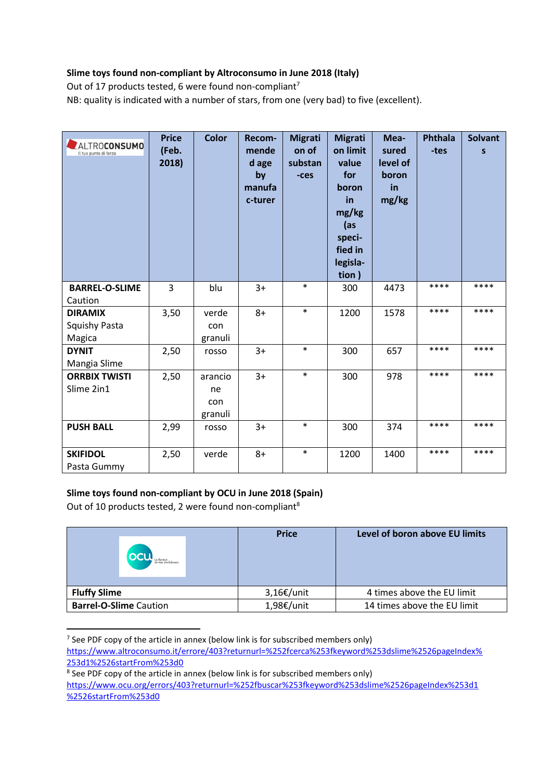# **Slime toys found non-compliant by Altroconsumo in June 2018 (Italy)**

Out of 17 products tested, 6 were found non-compliant<sup>7</sup>

NB: quality is indicated with a number of stars, from one (very bad) to five (excellent).

| ALTROCONSUMO<br>Il tuo punto di forza | <b>Price</b><br>(Feb.<br>2018) | <b>Color</b> | Recom-<br>mende<br>d age<br>by<br>manufa<br>c-turer | <b>Migrati</b><br>on of<br>substan<br>$-ces$ | <b>Migrati</b><br>on limit<br>value<br>for<br>boron<br>in<br>mg/kg<br>(as<br>speci-<br>fied in<br>legisla-<br>tion) | Mea-<br>sured<br>level of<br>boron<br>in<br>mg/kg | <b>Phthala</b><br>-tes | <b>Solvant</b><br>S |
|---------------------------------------|--------------------------------|--------------|-----------------------------------------------------|----------------------------------------------|---------------------------------------------------------------------------------------------------------------------|---------------------------------------------------|------------------------|---------------------|
| <b>BARREL-O-SLIME</b><br>Caution      | 3                              | blu          | $3+$                                                | $\ast$                                       | 300                                                                                                                 | 4473                                              | ****                   | ****                |
| <b>DIRAMIX</b>                        | 3,50                           | verde        | $8+$                                                | $\ast$                                       | 1200                                                                                                                | 1578                                              | ****                   | ****                |
| Squishy Pasta                         |                                | con          |                                                     |                                              |                                                                                                                     |                                                   |                        |                     |
| Magica                                |                                | granuli      |                                                     |                                              |                                                                                                                     |                                                   |                        |                     |
| <b>DYNIT</b>                          | 2,50                           | rosso        | $3+$                                                | $\ast$                                       | 300                                                                                                                 | 657                                               | ****                   | ****                |
| Mangia Slime                          |                                |              |                                                     |                                              |                                                                                                                     |                                                   |                        |                     |
| <b>ORRBIX TWISTI</b>                  | 2,50                           | arancio      | $3+$                                                | $\ast$                                       | 300                                                                                                                 | 978                                               | ****                   | ****                |
| Slime 2in1                            |                                | ne           |                                                     |                                              |                                                                                                                     |                                                   |                        |                     |
|                                       |                                | con          |                                                     |                                              |                                                                                                                     |                                                   |                        |                     |
|                                       |                                | granuli      |                                                     |                                              |                                                                                                                     |                                                   |                        |                     |
| <b>PUSH BALL</b>                      | 2,99                           | rosso        | $3+$                                                | $\ast$                                       | 300                                                                                                                 | 374                                               | ****                   | ****                |
| <b>SKIFIDOL</b>                       | 2,50                           | verde        | $8+$                                                | $\ast$                                       | 1200                                                                                                                | 1400                                              | ****                   | ****                |
| Pasta Gummy                           |                                |              |                                                     |                                              |                                                                                                                     |                                                   |                        |                     |

## **Slime toys found non-compliant by OCU in June 2018 (Spain)**

Out of 10 products tested, 2 were found non-compliant<sup>8</sup>

| La fuerza<br>de tus decisiones | <b>Price</b>  | Level of boron above EU limits |
|--------------------------------|---------------|--------------------------------|
| <b>Fluffy Slime</b>            | $3,16€/$ unit | 4 times above the EU limit     |
| <b>Barrel-O-Slime Caution</b>  | 1,98€/unit    | 14 times above the EU limit    |

 $<sup>7</sup>$  See PDF copy of the article in annex (below link is for subscribed members only)</sup>

[https://www.altroconsumo.it/errore/403?returnurl=%252fcerca%253fkeyword%253dslime%2526pageIndex%](https://www.altroconsumo.it/errore/403?returnurl=%252fcerca%253fkeyword%253dslime%2526pageIndex%253d1%2526startFrom%253d0) [253d1%2526startFrom%253d0](https://www.altroconsumo.it/errore/403?returnurl=%252fcerca%253fkeyword%253dslime%2526pageIndex%253d1%2526startFrom%253d0)

<sup>&</sup>lt;sup>8</sup> See PDF copy of the article in annex (below link is for subscribed members only) https://www.ocu.org/errors/403?returnurl=%252fbuscar%253fkeyword%253dslime%2526pageIndex%253d1 %2526startFrom%253d0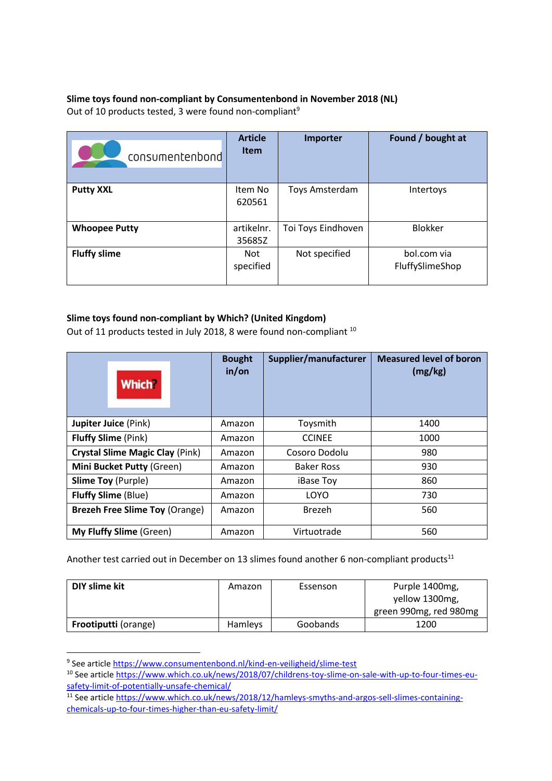# **Slime toys found non-compliant by Consumentenbond in November 2018 (NL)** Out of 10 products tested, 3 were found non-compliant<sup>9</sup>

| consumentenbond      | <b>Article</b><br><b>Item</b> | Importer           | Found / bought at              |
|----------------------|-------------------------------|--------------------|--------------------------------|
| <b>Putty XXL</b>     | Item No<br>620561             | Toys Amsterdam     | Intertoys                      |
| <b>Whoopee Putty</b> | artikelnr.<br>35685Z          | Toi Toys Eindhoven | <b>Blokker</b>                 |
| <b>Fluffy slime</b>  | <b>Not</b><br>specified       | Not specified      | bol.com via<br>FluffySlimeShop |

## **Slime toys found non-compliant by Which? (United Kingdom)**

Out of 11 products tested in July 2018, 8 were found non-compliant  $10$ 

| <b>Which?</b>                          | <b>Bought</b><br>in/or | Supplier/manufacturer | <b>Measured level of boron</b><br>(mg/kg) |
|----------------------------------------|------------------------|-----------------------|-------------------------------------------|
| <b>Jupiter Juice (Pink)</b>            | Amazon                 | Toysmith              | 1400                                      |
| <b>Fluffy Slime (Pink)</b>             | Amazon                 | <b>CCINEE</b>         | 1000                                      |
| <b>Crystal Slime Magic Clay (Pink)</b> | Amazon                 | Cosoro Dodolu         | 980                                       |
| <b>Mini Bucket Putty (Green)</b>       | Amazon                 | <b>Baker Ross</b>     | 930                                       |
| <b>Slime Toy (Purple)</b>              | Amazon                 | iBase Toy             | 860                                       |
| <b>Fluffy Slime (Blue)</b>             | Amazon                 | LOYO                  | 730                                       |
| <b>Brezeh Free Slime Toy (Orange)</b>  | Amazon                 | <b>Brezeh</b>         | 560                                       |
| <b>My Fluffy Slime (Green)</b>         | Amazon                 | Virtuotrade           | 560                                       |

Another test carried out in December on 13 slimes found another 6 non-compliant products $^{11}$ 

| DIY slime kit               | Amazon  | Essenson | Purple 1400mg,         |
|-----------------------------|---------|----------|------------------------|
|                             |         |          | yellow 1300mg,         |
|                             |         |          | green 990mg, red 980mg |
| <b>Frootiputti</b> (orange) | Hamleys | Goobands | 1200                   |

<sup>&</sup>lt;sup>9</sup> See article<https://www.consumentenbond.nl/kind-en-veiligheid/slime-test>

<sup>&</sup>lt;sup>10</sup> See article [https://www.which.co.uk/news/2018/07/childrens-toy-slime-on-sale-with-up-to-four-times-eu](https://www.which.co.uk/news/2018/07/childrens-toy-slime-on-sale-with-up-to-four-times-eu-safety-limit-of-potentially-unsafe-chemical/)[safety-limit-of-potentially-unsafe-chemical/](https://www.which.co.uk/news/2018/07/childrens-toy-slime-on-sale-with-up-to-four-times-eu-safety-limit-of-potentially-unsafe-chemical/)

<sup>&</sup>lt;sup>11</sup> See article [https://www.which.co.uk/news/2018/12/hamleys-smyths-and-argos-sell-slimes-containing](https://www.which.co.uk/news/2018/12/hamleys-smyths-and-argos-sell-slimes-containing-chemicals-up-to-four-times-higher-than-eu-safety-limit/)[chemicals-up-to-four-times-higher-than-eu-safety-limit/](https://www.which.co.uk/news/2018/12/hamleys-smyths-and-argos-sell-slimes-containing-chemicals-up-to-four-times-higher-than-eu-safety-limit/)